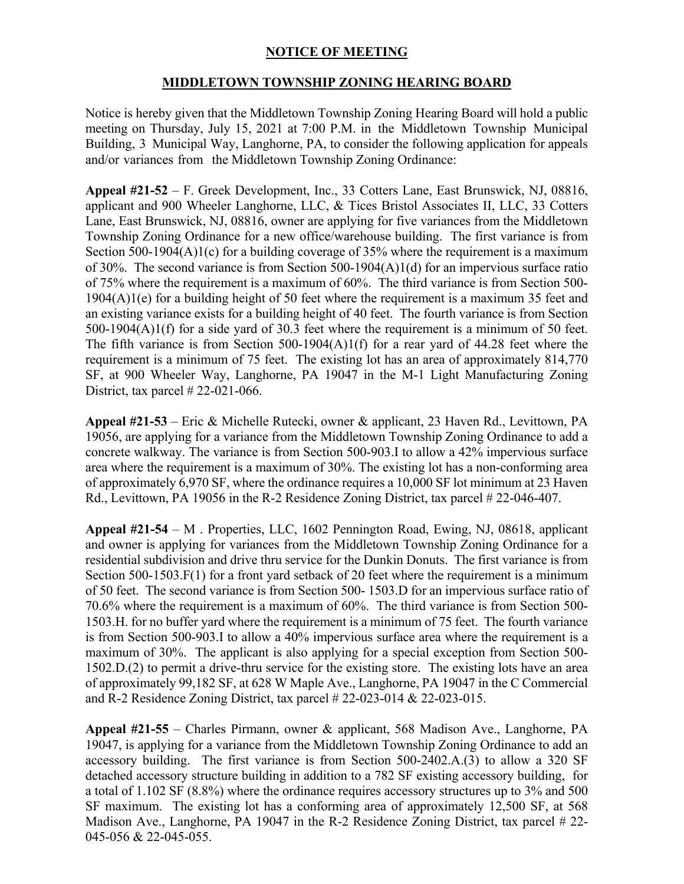## **NOTICE OF MEETING**

## **MIDDLETOWN TOWNSHIP ZONING HEARING BOARD**

Notice is hereby given that the Middletown Township Zoning Hearing Board will hold a public meeting on Thursday, July 15, 2021 at 7:00 P.M. in the Middletown Township Municipal Building, 3 Municipal Way, Langhorne, PA, to consider the following application for appeals and/or variances from the Middletown Township Zoning Ordinance:

**Appeal #21-52** – F. Greek Development, Inc., 33 Cotters Lane, East Brunswick, NJ, 08816, applicant and 900 Wheeler Langhorne, LLC, & Tices Bristol Associates II, LLC, 33 Cotters Lane, East Brunswick, NJ, 08816, owner are applying for five variances from the Middletown Township Zoning Ordinance for a new office/warehouse building. The first variance is from Section 500-1904(A)1(c) for a building coverage of 35% where the requirement is a maximum of 30%. The second variance is from Section 500-1904(A)1(d) for an impervious surface ratio of 75% where the requirement is a maximum of 60%. The third variance is from Section 500- 1904(A)1(e) for a building height of 50 feet where the requirement is a maximum 35 feet and an existing variance exists for a building height of 40 feet. The fourth variance is from Section 500-1904(A)1(f) for a side yard of 30.3 feet where the requirement is a minimum of 50 feet. The fifth variance is from Section 500-1904(A)1(f) for a rear yard of 44.28 feet where the requirement is a minimum of 75 feet. The existing lot has an area of approximately 814,770 SF, at 900 Wheeler Way, Langhorne, PA 19047 in the M-1 Light Manufacturing Zoning District, tax parcel # 22-021-066.

**Appeal #21-53** – Eric & Michelle Rutecki, owner & applicant, 23 Haven Rd., Levittown, PA 19056, are applying for a variance from the Middletown Township Zoning Ordinance to add a concrete walkway. The variance is from Section 500-903.I to allow a 42% impervious surface area where the requirement is a maximum of 30%. The existing lot has a non-conforming area of approximately 6,970 SF, where the ordinance requires a 10,000 SF lot minimum at 23 Haven Rd., Levittown, PA 19056 in the R-2 Residence Zoning District, tax parcel # 22-046-407.

**Appeal #21-54** – M . Properties, LLC, 1602 Pennington Road, Ewing, NJ, 08618, applicant and owner is applying for variances from the Middletown Township Zoning Ordinance for a residential subdivision and drive thru service for the Dunkin Donuts. The first variance is from Section 500-1503.F(1) for a front yard setback of 20 feet where the requirement is a minimum of 50 feet. The second variance is from Section 500- 1503.D for an impervious surface ratio of 70.6% where the requirement is a maximum of 60%. The third variance is from Section 500- 1503.H. for no buffer yard where the requirement is a minimum of 75 feet. The fourth variance is from Section 500-903.I to allow a 40% impervious surface area where the requirement is a maximum of 30%. The applicant is also applying for a special exception from Section 500- 1502.D.(2) to permit a drive-thru service for the existing store. The existing lots have an area of approximately 99,182 SF, at 628 W Maple Ave., Langhorne, PA 19047 in the C Commercial and R-2 Residence Zoning District, tax parcel # 22-023-014 & 22-023-015.

**Appeal #21-55** – Charles Pirmann, owner & applicant, 568 Madison Ave., Langhorne, PA 19047, is applying for a variance from the Middletown Township Zoning Ordinance to add an accessory building. The first variance is from Section 500-2402.A.(3) to allow a 320 SF detached accessory structure building in addition to a 782 SF existing accessory building, for a total of 1.102 SF (8.8%) where the ordinance requires accessory structures up to 3% and 500 SF maximum. The existing lot has a conforming area of approximately 12,500 SF, at 568 Madison Ave., Langhorne, PA 19047 in the R-2 Residence Zoning District, tax parcel # 22- 045-056 & 22-045-055.